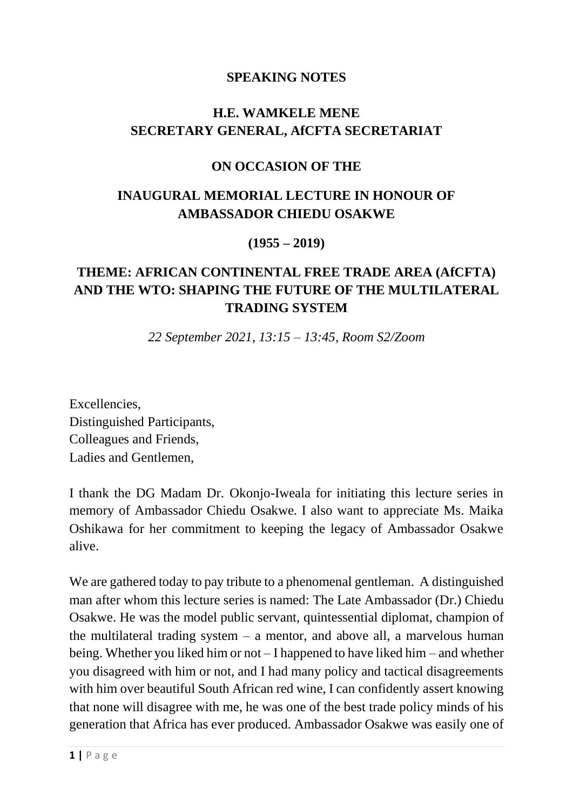#### **SPEAKING NOTES**

# **H.E. WAMKELE MENE SECRETARY GENERAL, AfCFTA SECRETARIAT**

#### **ON OCCASION OF THE**

#### **INAUGURAL MEMORIAL LECTURE IN HONOUR OF AMBASSADOR CHIEDU OSAKWE**

**(1955 – 2019)**

# **THEME: AFRICAN CONTINENTAL FREE TRADE AREA (AfCFTA) AND THE WTO: SHAPING THE FUTURE OF THE MULTILATERAL TRADING SYSTEM**

*22 September 2021, 13:15 – 13:45, Room S2/Zoom*

Excellencies, Distinguished Participants, Colleagues and Friends, Ladies and Gentlemen,

I thank the DG Madam Dr. Okonjo-Iweala for initiating this lecture series in memory of Ambassador Chiedu Osakwe. I also want to appreciate Ms. Maika Oshikawa for her commitment to keeping the legacy of Ambassador Osakwe alive.

We are gathered today to pay tribute to a phenomenal gentleman. A distinguished man after whom this lecture series is named: The Late Ambassador (Dr.) Chiedu Osakwe. He was the model public servant, quintessential diplomat, champion of the multilateral trading system  $-$  a mentor, and above all, a marvelous human being. Whether you liked him or not – I happened to have liked him – and whether you disagreed with him or not, and I had many policy and tactical disagreements with him over beautiful South African red wine, I can confidently assert knowing that none will disagree with me, he was one of the best trade policy minds of his generation that Africa has ever produced. Ambassador Osakwe was easily one of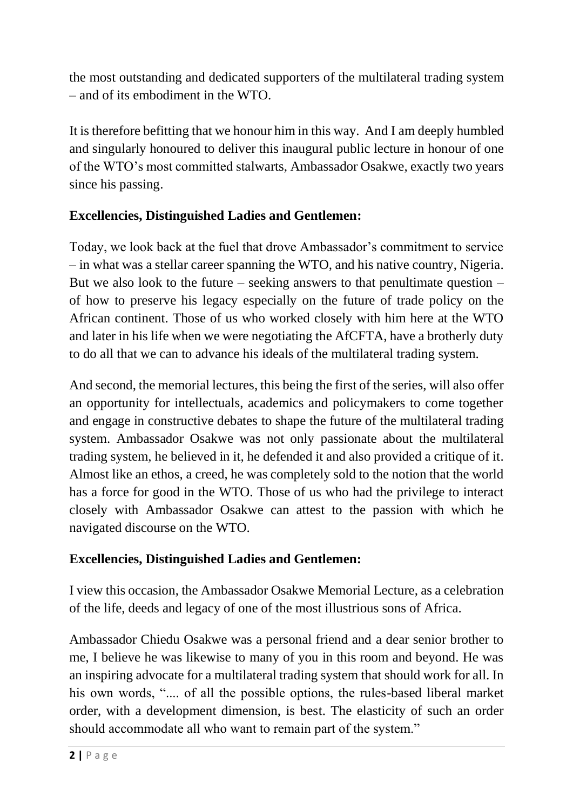the most outstanding and dedicated supporters of the multilateral trading system – and of its embodiment in the WTO.

It is therefore befitting that we honour him in this way. And I am deeply humbled and singularly honoured to deliver this inaugural public lecture in honour of one of the WTO's most committed stalwarts, Ambassador Osakwe, exactly two years since his passing.

# **Excellencies, Distinguished Ladies and Gentlemen:**

Today, we look back at the fuel that drove Ambassador's commitment to service – in what was a stellar career spanning the WTO, and his native country, Nigeria. But we also look to the future – seeking answers to that penultimate question – of how to preserve his legacy especially on the future of trade policy on the African continent. Those of us who worked closely with him here at the WTO and later in his life when we were negotiating the AfCFTA, have a brotherly duty to do all that we can to advance his ideals of the multilateral trading system.

And second, the memorial lectures, this being the first of the series, will also offer an opportunity for intellectuals, academics and policymakers to come together and engage in constructive debates to shape the future of the multilateral trading system. Ambassador Osakwe was not only passionate about the multilateral trading system, he believed in it, he defended it and also provided a critique of it. Almost like an ethos, a creed, he was completely sold to the notion that the world has a force for good in the WTO. Those of us who had the privilege to interact closely with Ambassador Osakwe can attest to the passion with which he navigated discourse on the WTO.

# **Excellencies, Distinguished Ladies and Gentlemen:**

I view this occasion, the Ambassador Osakwe Memorial Lecture, as a celebration of the life, deeds and legacy of one of the most illustrious sons of Africa.

Ambassador Chiedu Osakwe was a personal friend and a dear senior brother to me, I believe he was likewise to many of you in this room and beyond. He was an inspiring advocate for a multilateral trading system that should work for all. In his own words, ".... of all the possible options, the rules-based liberal market order, with a development dimension, is best. The elasticity of such an order should accommodate all who want to remain part of the system."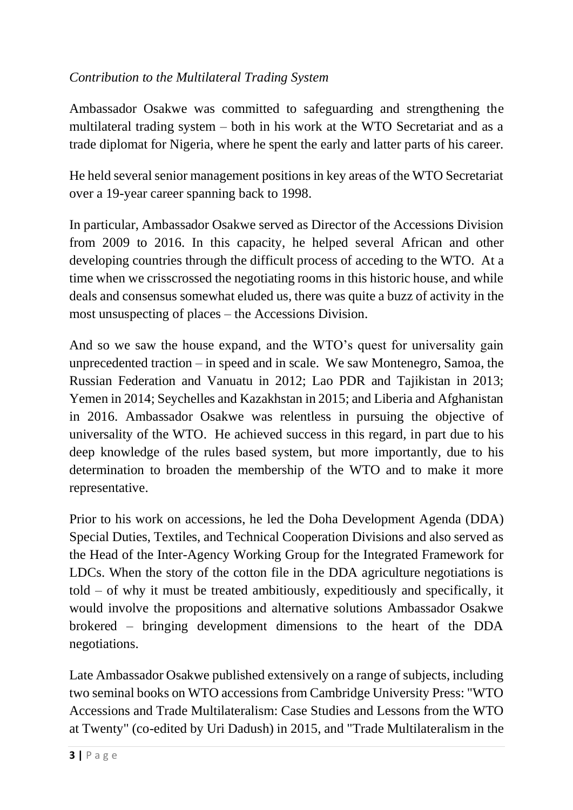### *Contribution to the Multilateral Trading System*

Ambassador Osakwe was committed to safeguarding and strengthening the multilateral trading system – both in his work at the WTO Secretariat and as a trade diplomat for Nigeria, where he spent the early and latter parts of his career.

He held several senior management positions in key areas of the WTO Secretariat over a 19-year career spanning back to 1998.

In particular, Ambassador Osakwe served as Director of the Accessions Division from 2009 to 2016. In this capacity, he helped several African and other developing countries through the difficult process of acceding to the WTO. At a time when we crisscrossed the negotiating rooms in this historic house, and while deals and consensus somewhat eluded us, there was quite a buzz of activity in the most unsuspecting of places – the Accessions Division.

And so we saw the house expand, and the WTO's quest for universality gain unprecedented traction – in speed and in scale. We saw Montenegro, Samoa, the Russian Federation and Vanuatu in 2012; Lao PDR and Tajikistan in 2013; Yemen in 2014; Seychelles and Kazakhstan in 2015; and Liberia and Afghanistan in 2016. Ambassador Osakwe was relentless in pursuing the objective of universality of the WTO. He achieved success in this regard, in part due to his deep knowledge of the rules based system, but more importantly, due to his determination to broaden the membership of the WTO and to make it more representative.

Prior to his work on accessions, he led the Doha Development Agenda (DDA) Special Duties, Textiles, and Technical Cooperation Divisions and also served as the Head of the Inter-Agency Working Group for the Integrated Framework for LDCs. When the story of the cotton file in the DDA agriculture negotiations is told – of why it must be treated ambitiously, expeditiously and specifically, it would involve the propositions and alternative solutions Ambassador Osakwe brokered – bringing development dimensions to the heart of the DDA negotiations.

Late Ambassador Osakwe published extensively on a range of subjects, including two seminal books on WTO accessions from Cambridge University Press: "WTO Accessions and Trade Multilateralism: Case Studies and Lessons from the WTO at Twenty" (co-edited by Uri Dadush) in 2015, and "Trade Multilateralism in the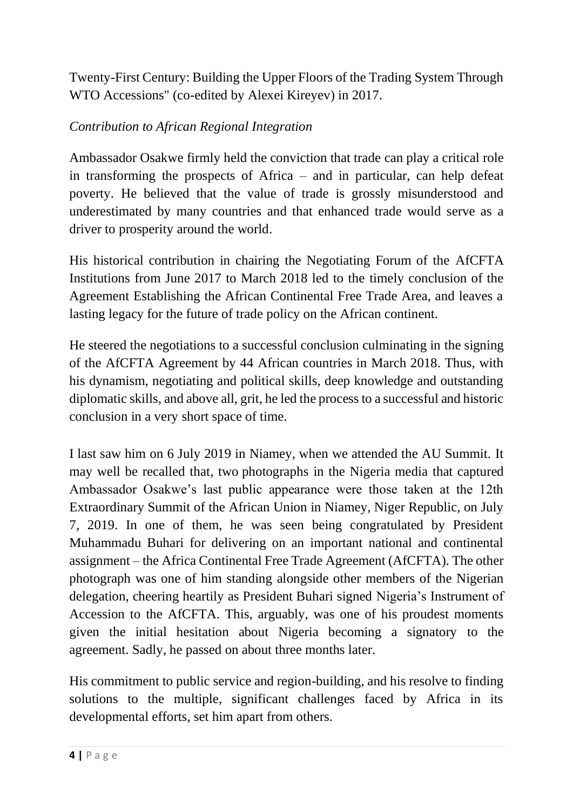Twenty-First Century: Building the Upper Floors of the Trading System Through WTO Accessions" (co-edited by Alexei Kireyev) in 2017.

### *Contribution to African Regional Integration*

Ambassador Osakwe firmly held the conviction that trade can play a critical role in transforming the prospects of Africa – and in particular, can help defeat poverty. He believed that the value of trade is grossly misunderstood and underestimated by many countries and that enhanced trade would serve as a driver to prosperity around the world.

His historical contribution in chairing the Negotiating Forum of the AfCFTA Institutions from June 2017 to March 2018 led to the timely conclusion of the Agreement Establishing the African Continental Free Trade Area, and leaves a lasting legacy for the future of trade policy on the African continent.

He steered the negotiations to a successful conclusion culminating in the signing of the AfCFTA Agreement by 44 African countries in March 2018. Thus, with his dynamism, negotiating and political skills, deep knowledge and outstanding diplomatic skills, and above all, grit, he led the process to a successful and historic conclusion in a very short space of time.

I last saw him on 6 July 2019 in Niamey, when we attended the AU Summit. It may well be recalled that, two photographs in the Nigeria media that captured Ambassador Osakwe's last public appearance were those taken at the 12th Extraordinary Summit of the African Union in Niamey, Niger Republic, on July 7, 2019. In one of them, he was seen being congratulated by President Muhammadu Buhari for delivering on an important national and continental assignment – the Africa Continental Free Trade Agreement (AfCFTA). The other photograph was one of him standing alongside other members of the Nigerian delegation, cheering heartily as President Buhari signed Nigeria's Instrument of Accession to the AfCFTA. This, arguably, was one of his proudest moments given the initial hesitation about Nigeria becoming a signatory to the agreement. Sadly, he passed on about three months later.

His commitment to public service and region-building, and his resolve to finding solutions to the multiple, significant challenges faced by Africa in its developmental efforts, set him apart from others.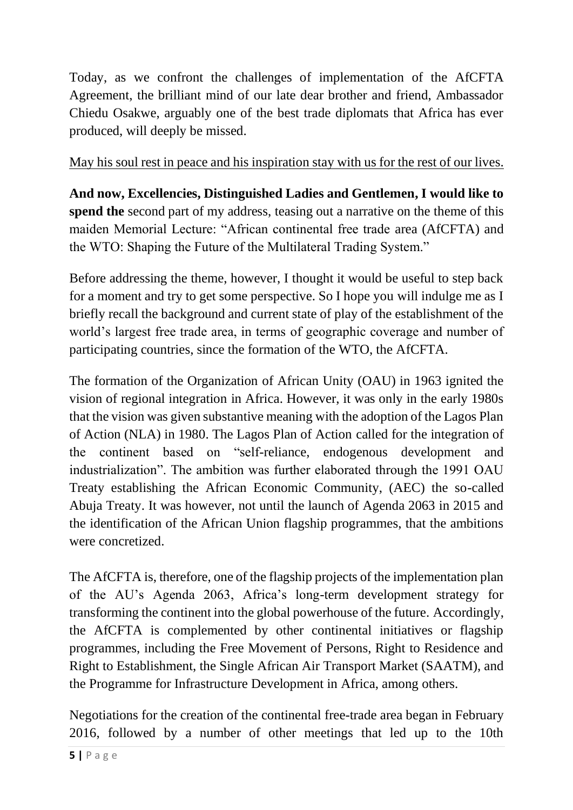Today, as we confront the challenges of implementation of the AfCFTA Agreement, the brilliant mind of our late dear brother and friend, Ambassador Chiedu Osakwe, arguably one of the best trade diplomats that Africa has ever produced, will deeply be missed.

May his soul rest in peace and his inspiration stay with us for the rest of our lives.

**And now, Excellencies, Distinguished Ladies and Gentlemen, I would like to spend the** second part of my address, teasing out a narrative on the theme of this maiden Memorial Lecture: "African continental free trade area (AfCFTA) and the WTO: Shaping the Future of the Multilateral Trading System."

Before addressing the theme, however, I thought it would be useful to step back for a moment and try to get some perspective. So I hope you will indulge me as I briefly recall the background and current state of play of the establishment of the world's largest free trade area, in terms of geographic coverage and number of participating countries, since the formation of the WTO, the AfCFTA.

The formation of the Organization of African Unity (OAU) in 1963 ignited the vision of regional integration in Africa. However, it was only in the early 1980s that the vision was given substantive meaning with the adoption of the Lagos Plan of Action (NLA) in 1980. The Lagos Plan of Action called for the integration of the continent based on "self-reliance, endogenous development and industrialization". The ambition was further elaborated through the 1991 OAU Treaty establishing the African Economic Community, (AEC) the so-called Abuja Treaty. It was however, not until the launch of Agenda 2063 in 2015 and the identification of the African Union flagship programmes, that the ambitions were concretized.

The AfCFTA is, therefore, one of the flagship projects of the implementation plan of the AU's Agenda 2063, Africa's long-term development strategy for transforming the continent into the global powerhouse of the future. Accordingly, the AfCFTA is complemented by other continental initiatives or flagship programmes, including the Free Movement of Persons, Right to Residence and Right to Establishment, the Single African Air Transport Market (SAATM), and the Programme for Infrastructure Development in Africa, among others.

Negotiations for the creation of the continental free-trade area began in February 2016, followed by a number of other meetings that led up to the 10th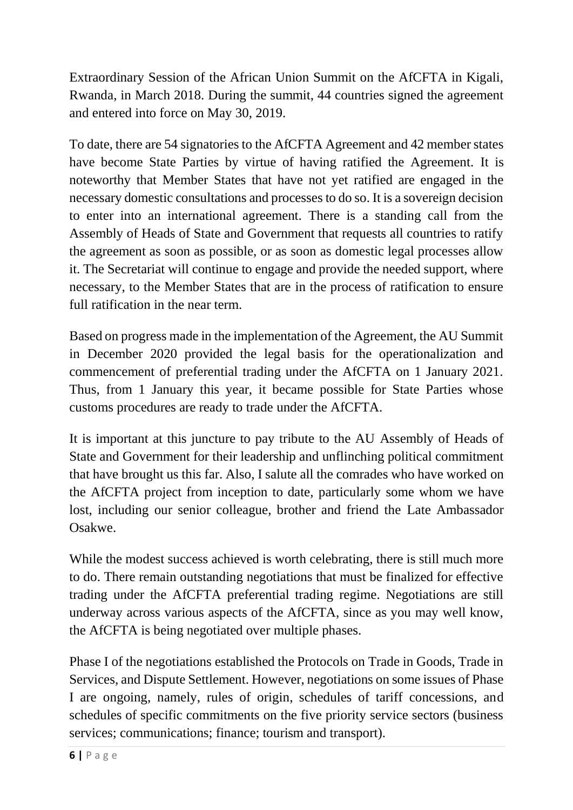Extraordinary Session of the African Union Summit on the AfCFTA in Kigali, Rwanda, in March 2018. During the summit, 44 countries signed the agreement and entered into force on May 30, 2019.

To date, there are 54 signatories to the AfCFTA Agreement and 42 member states have become State Parties by virtue of having ratified the Agreement. It is noteworthy that Member States that have not yet ratified are engaged in the necessary domestic consultations and processes to do so. It is a sovereign decision to enter into an international agreement. There is a standing call from the Assembly of Heads of State and Government that requests all countries to ratify the agreement as soon as possible, or as soon as domestic legal processes allow it. The Secretariat will continue to engage and provide the needed support, where necessary, to the Member States that are in the process of ratification to ensure full ratification in the near term.

Based on progress made in the implementation of the Agreement, the AU Summit in December 2020 provided the legal basis for the operationalization and commencement of preferential trading under the AfCFTA on 1 January 2021. Thus, from 1 January this year, it became possible for State Parties whose customs procedures are ready to trade under the AfCFTA.

It is important at this juncture to pay tribute to the AU Assembly of Heads of State and Government for their leadership and unflinching political commitment that have brought us this far. Also, I salute all the comrades who have worked on the AfCFTA project from inception to date, particularly some whom we have lost, including our senior colleague, brother and friend the Late Ambassador Osakwe.

While the modest success achieved is worth celebrating, there is still much more to do. There remain outstanding negotiations that must be finalized for effective trading under the AfCFTA preferential trading regime. Negotiations are still underway across various aspects of the AfCFTA, since as you may well know, the AfCFTA is being negotiated over multiple phases.

Phase I of the negotiations established the Protocols on Trade in Goods, Trade in Services, and Dispute Settlement. However, negotiations on some issues of Phase I are ongoing, namely, rules of origin, schedules of tariff concessions, and schedules of specific commitments on the five priority service sectors (business services; communications; finance; tourism and transport).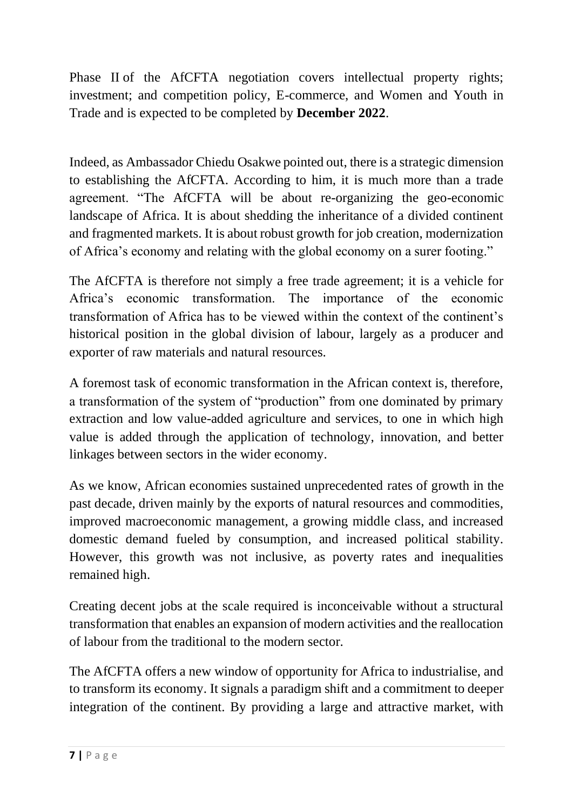Phase II of the AfCFTA negotiation covers intellectual property rights; investment; and competition policy, E-commerce, and Women and Youth in Trade and is expected to be completed by **December 2022**.

Indeed, as Ambassador Chiedu Osakwe pointed out, there is a strategic dimension to establishing the AfCFTA. According to him, it is much more than a trade agreement. "The AfCFTA will be about re-organizing the geo-economic landscape of Africa. It is about shedding the inheritance of a divided continent and fragmented markets. It is about robust growth for job creation, modernization of Africa's economy and relating with the global economy on a surer footing."

The AfCFTA is therefore not simply a free trade agreement; it is a vehicle for Africa's economic transformation. The importance of the economic transformation of Africa has to be viewed within the context of the continent's historical position in the global division of labour, largely as a producer and exporter of raw materials and natural resources.

A foremost task of economic transformation in the African context is, therefore, a transformation of the system of "production" from one dominated by primary extraction and low value-added agriculture and services, to one in which high value is added through the application of technology, innovation, and better linkages between sectors in the wider economy.

As we know, African economies sustained unprecedented rates of growth in the past decade, driven mainly by the exports of natural resources and commodities, improved macroeconomic management, a growing middle class, and increased domestic demand fueled by consumption, and increased political stability. However, this growth was not inclusive, as poverty rates and inequalities remained high.

Creating decent jobs at the scale required is inconceivable without a structural transformation that enables an expansion of modern activities and the reallocation of labour from the traditional to the modern sector.

The AfCFTA offers a new window of opportunity for Africa to industrialise, and to transform its economy. It signals a paradigm shift and a commitment to deeper integration of the continent. By providing a large and attractive market, with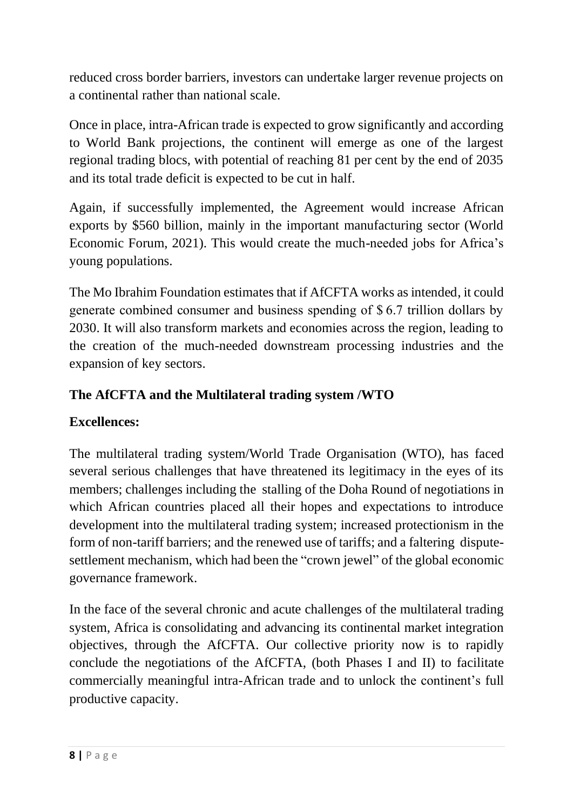reduced cross border barriers, investors can undertake larger revenue projects on a continental rather than national scale.

Once in place, intra-African trade is expected to grow significantly and according to World Bank projections, the continent will emerge as one of the largest regional trading blocs, with potential of reaching 81 per cent by the end of 2035 and its total trade deficit is expected to be cut in half.

Again, if successfully implemented, the Agreement would increase African exports by \$560 billion, mainly in the important manufacturing sector (World Economic Forum, 2021). This would create the much-needed jobs for Africa's young populations.

The Mo Ibrahim Foundation estimates that if AfCFTA works as intended, it could generate combined consumer and business spending of \$ 6.7 trillion dollars by 2030. It will also transform markets and economies across the region, leading to the creation of the much-needed downstream processing industries and the expansion of key sectors.

# **The AfCFTA and the Multilateral trading system /WTO**

# **Excellences:**

The multilateral trading system/World Trade Organisation (WTO), has faced several serious challenges that have threatened its legitimacy in the eyes of its members; challenges including the stalling of the Doha Round of negotiations in which African countries placed all their hopes and expectations to introduce development into the multilateral trading system; increased protectionism in the form of non-tariff barriers; and the renewed use of tariffs; and a faltering disputesettlement mechanism, which had been the "crown jewel" of the global economic governance framework.

In the face of the several chronic and acute challenges of the multilateral trading system, Africa is consolidating and advancing its continental market integration objectives, through the AfCFTA. Our collective priority now is to rapidly conclude the negotiations of the AfCFTA, (both Phases I and II) to facilitate commercially meaningful intra-African trade and to unlock the continent's full productive capacity.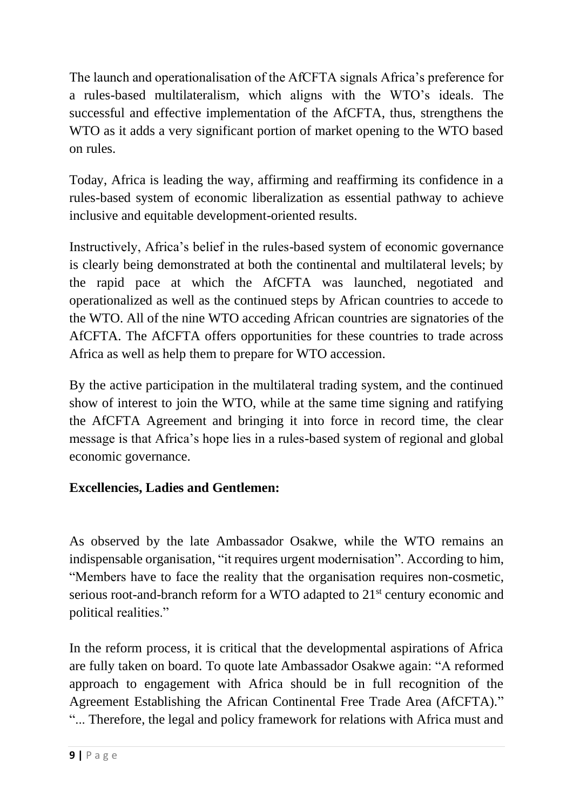The launch and operationalisation of the AfCFTA signals Africa's preference for a rules-based multilateralism, which aligns with the WTO's ideals. The successful and effective implementation of the AfCFTA, thus, strengthens the WTO as it adds a very significant portion of market opening to the WTO based on rules.

Today, Africa is leading the way, affirming and reaffirming its confidence in a rules-based system of economic liberalization as essential pathway to achieve inclusive and equitable development-oriented results.

Instructively, Africa's belief in the rules-based system of economic governance is clearly being demonstrated at both the continental and multilateral levels; by the rapid pace at which the AfCFTA was launched, negotiated and operationalized as well as the continued steps by African countries to accede to the WTO. All of the nine WTO acceding African countries are signatories of the AfCFTA. The AfCFTA offers opportunities for these countries to trade across Africa as well as help them to prepare for WTO accession.

By the active participation in the multilateral trading system, and the continued show of interest to join the WTO, while at the same time signing and ratifying the AfCFTA Agreement and bringing it into force in record time, the clear message is that Africa's hope lies in a rules-based system of regional and global economic governance.

# **Excellencies, Ladies and Gentlemen:**

As observed by the late Ambassador Osakwe, while the WTO remains an indispensable organisation, "it requires urgent modernisation". According to him, "Members have to face the reality that the organisation requires non-cosmetic, serious root-and-branch reform for a WTO adapted to 21<sup>st</sup> century economic and political realities."

In the reform process, it is critical that the developmental aspirations of Africa are fully taken on board. To quote late Ambassador Osakwe again: "A reformed approach to engagement with Africa should be in full recognition of the Agreement Establishing the African Continental Free Trade Area (AfCFTA)." "... Therefore, the legal and policy framework for relations with Africa must and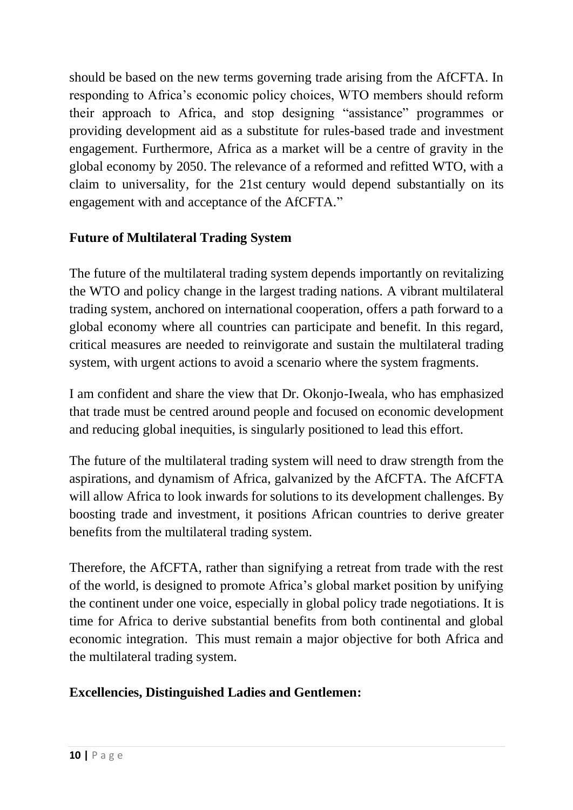should be based on the new terms governing trade arising from the AfCFTA. In responding to Africa's economic policy choices, WTO members should reform their approach to Africa, and stop designing "assistance" programmes or providing development aid as a substitute for rules-based trade and investment engagement. Furthermore, Africa as a market will be a centre of gravity in the global economy by 2050. The relevance of a reformed and refitted WTO, with a claim to universality, for the 21st century would depend substantially on its engagement with and acceptance of the AfCFTA."

# **Future of Multilateral Trading System**

The future of the multilateral trading system depends importantly on revitalizing the WTO and policy change in the largest trading nations. A vibrant multilateral trading system, anchored on international cooperation, offers a path forward to a global economy where all countries can participate and benefit. In this regard, critical measures are needed to reinvigorate and sustain the multilateral trading system, with urgent actions to avoid a scenario where the system fragments.

I am confident and share the view that Dr. Okonjo-Iweala, who has emphasized that trade must be centred around people and focused on economic development and reducing global inequities, is singularly positioned to lead this effort.

The future of the multilateral trading system will need to draw strength from the aspirations, and dynamism of Africa, galvanized by the AfCFTA. The AfCFTA will allow Africa to look inwards for solutions to its development challenges. By boosting trade and investment, it positions African countries to derive greater benefits from the multilateral trading system.

Therefore, the AfCFTA, rather than signifying a retreat from trade with the rest of the world, is designed to promote Africa's global market position by unifying the continent under one voice, especially in global policy trade negotiations. It is time for Africa to derive substantial benefits from both continental and global economic integration. This must remain a major objective for both Africa and the multilateral trading system.

# **Excellencies, Distinguished Ladies and Gentlemen:**